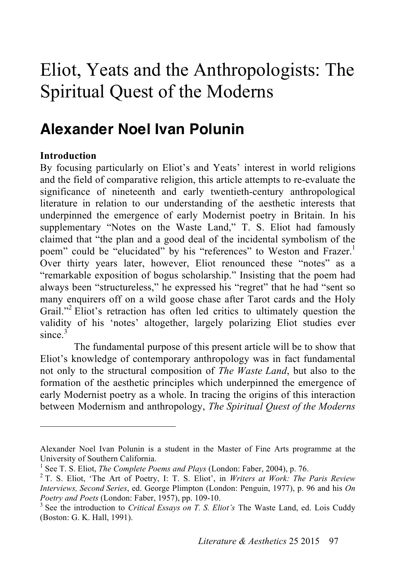# Eliot, Yeats and the Anthropologists: The Spiritual Quest of the Moderns

## **Alexander Noel Ivan Polunin**

#### **Introduction**

 $\overline{a}$ 

By focusing particularly on Eliot's and Yeats' interest in world religions and the field of comparative religion, this article attempts to re-evaluate the significance of nineteenth and early twentieth-century anthropological literature in relation to our understanding of the aesthetic interests that underpinned the emergence of early Modernist poetry in Britain. In his supplementary "Notes on the Waste Land," T. S. Eliot had famously claimed that "the plan and a good deal of the incidental symbolism of the poem" could be "elucidated" by his "references" to Weston and Frazer.<sup>1</sup> Over thirty years later, however, Eliot renounced these "notes" as a "remarkable exposition of bogus scholarship." Insisting that the poem had always been "structureless," he expressed his "regret" that he had "sent so many enquirers off on a wild goose chase after Tarot cards and the Holy Grail."<sup>2</sup> Eliot's retraction has often led critics to ultimately question the validity of his 'notes' altogether, largely polarizing Eliot studies ever since. 3

The fundamental purpose of this present article will be to show that Eliot's knowledge of contemporary anthropology was in fact fundamental not only to the structural composition of *The Waste Land*, but also to the formation of the aesthetic principles which underpinned the emergence of early Modernist poetry as a whole. In tracing the origins of this interaction between Modernism and anthropology, *The Spiritual Quest of the Moderns*

Alexander Noel Ivan Polunin is a student in the Master of Fine Arts programme at the University of Southern California.

<sup>&</sup>lt;sup>1</sup> See T. S. Eliot, *The Complete Poems and Plays* (London: Faber, 2004), p. 76. <sup>2</sup> T. S. Eliot, 'The Art of Poetry, I: T. S. Eliot', in *Writers at Work: The Paris Review Interviews, Second Series*, ed. George Plimpton (London: Penguin, 1977), p. 96 and his *On*  Poetry and Poets (London: Faber, 1957), pp. 109-10.

<sup>&</sup>lt;sup>3</sup> See the introduction to *Critical Essays on T. S. Eliot's* The Waste Land, ed. Lois Cuddy (Boston: G. K. Hall, 1991).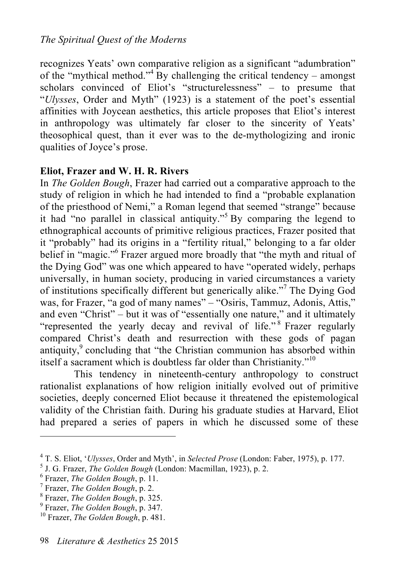recognizes Yeats' own comparative religion as a significant "adumbration" of the "mythical method."<sup>4</sup> By challenging the critical tendency – amongst scholars convinced of Eliot's "structurelessness" – to presume that "*Ulysses*, Order and Myth" (1923) is a statement of the poet's essential affinities with Joycean aesthetics, this article proposes that Eliot's interest in anthropology was ultimately far closer to the sincerity of Yeats' theosophical quest, than it ever was to the de-mythologizing and ironic qualities of Joyce's prose.

### **Eliot, Frazer and W. H. R. Rivers**

In *The Golden Bough*, Frazer had carried out a comparative approach to the study of religion in which he had intended to find a "probable explanation of the priesthood of Nemi," a Roman legend that seemed "strange" because it had "no parallel in classical antiquity."<sup>5</sup> By comparing the legend to ethnographical accounts of primitive religious practices, Frazer posited that it "probably" had its origins in a "fertility ritual," belonging to a far older belief in "magic."<sup>6</sup> Frazer argued more broadly that "the myth and ritual of the Dying God" was one which appeared to have "operated widely, perhaps universally, in human society, producing in varied circumstances a variety of institutions specifically different but generically alike."<sup>7</sup> The Dying God was, for Frazer, "a god of many names" – "Osiris, Tammuz, Adonis, Attis," and even "Christ" – but it was of "essentially one nature," and it ultimately "represented the yearly decay and revival of life."<sup>8</sup> Frazer regularly compared Christ's death and resurrection with these gods of pagan antiquity,<sup>9</sup> concluding that "the Christian communion has absorbed within itself a sacrament which is doubtless far older than Christianity."<sup>10</sup>

This tendency in nineteenth-century anthropology to construct rationalist explanations of how religion initially evolved out of primitive societies, deeply concerned Eliot because it threatened the epistemological validity of the Christian faith. During his graduate studies at Harvard, Eliot had prepared a series of papers in which he discussed some of these

<sup>&</sup>lt;sup>4</sup> T. S. Eliot, *'Ulysses*, Order and Myth', in *Selected Prose* (London: Faber, 1975), p. 177. <sup>5</sup> J. G. Frazer, *The Golden Bough* (London: Macmillan, 1923), p. 2.

Frazer, *The Golden Bough*, p. 11. <sup>7</sup>

Frazer, *The Golden Bough*, p. 2. <sup>8</sup>

<sup>&</sup>lt;sup>8</sup> Frazer, *The Golden Bough*, p. 325.<br><sup>9</sup> Frazer, *The Golden Bough*, p. 347.

<sup>&</sup>lt;sup>10</sup> Frazer, *The Golden Bough*, p. 481.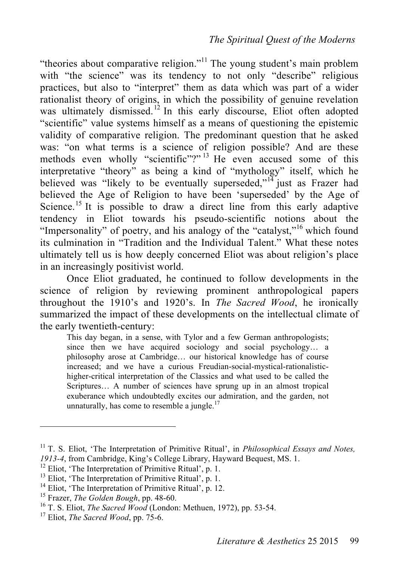"theories about comparative religion."<sup>11</sup> The young student's main problem with "the science" was its tendency to not only "describe" religious practices, but also to "interpret" them as data which was part of a wider rationalist theory of origins, in which the possibility of genuine revelation was ultimately dismissed.<sup>12</sup> In this early discourse, Eliot often adopted "scientific" value systems himself as a means of questioning the epistemic validity of comparative religion. The predominant question that he asked was: "on what terms is a science of religion possible? And are these methods even wholly "scientific"?" <sup>13</sup> He even accused some of this interpretative "theory" as being a kind of "mythology" itself, which he believed was "likely to be eventually superseded," $14$  just as Frazer had believed the Age of Religion to have been 'superseded' by the Age of Science.<sup>15</sup> It is possible to draw a direct line from this early adaptive tendency in Eliot towards his pseudo-scientific notions about the "Impersonality" of poetry, and his analogy of the "catalyst,"<sup>16</sup> which found its culmination in "Tradition and the Individual Talent." What these notes ultimately tell us is how deeply concerned Eliot was about religion's place in an increasingly positivist world.

Once Eliot graduated, he continued to follow developments in the science of religion by reviewing prominent anthropological papers throughout the 1910's and 1920's. In *The Sacred Wood*, he ironically summarized the impact of these developments on the intellectual climate of the early twentieth-century:

This day began, in a sense, with Tylor and a few German anthropologists; since then we have acquired sociology and social psychology… a philosophy arose at Cambridge… our historical knowledge has of course increased; and we have a curious Freudian-social-mystical-rationalistichigher-critical interpretation of the Classics and what used to be called the Scriptures… A number of sciences have sprung up in an almost tropical exuberance which undoubtedly excites our admiration, and the garden, not unnaturally, has come to resemble a jungle. $17$ 

<sup>11</sup> T. S. Eliot, 'The Interpretation of Primitive Ritual', in *Philosophical Essays and Notes,*  1913-4, from Cambridge, King's College Library, Hayward Bequest, MS. 1.<br>
<sup>12</sup> Eliot, 'The Interpretation of Primitive Ritual', p. 1.<br>
<sup>13</sup> Eliot, 'The Interpretation of Primitive Ritual', p. 1.<br>
<sup>14</sup> Eliot, 'The Interpret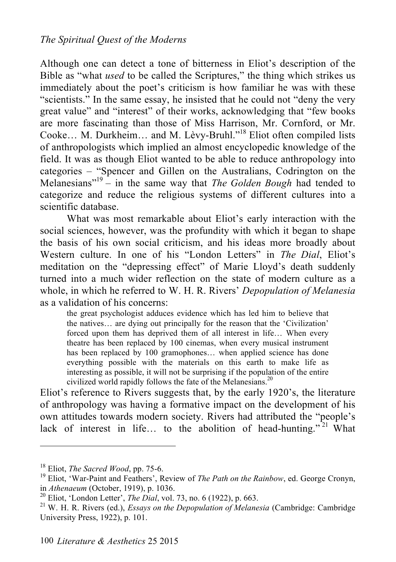Although one can detect a tone of bitterness in Eliot's description of the Bible as "what *used* to be called the Scriptures," the thing which strikes us immediately about the poet's criticism is how familiar he was with these "scientists." In the same essay, he insisted that he could not "deny the very great value" and "interest" of their works, acknowledging that "few books are more fascinating than those of Miss Harrison, Mr. Cornford, or Mr. Cooke… M. Durkheim… and M. Lèvy-Bruhl." 18 Eliot often compiled lists of anthropologists which implied an almost encyclopedic knowledge of the field. It was as though Eliot wanted to be able to reduce anthropology into categories – "Spencer and Gillen on the Australians, Codrington on the Melanesians" <sup>19</sup> – in the same way that *The Golden Bough* had tended to categorize and reduce the religious systems of different cultures into a scientific database.

What was most remarkable about Eliot's early interaction with the social sciences, however, was the profundity with which it began to shape the basis of his own social criticism, and his ideas more broadly about Western culture. In one of his "London Letters" in *The Dial*, Eliot's meditation on the "depressing effect" of Marie Lloyd's death suddenly turned into a much wider reflection on the state of modern culture as a whole, in which he referred to W. H. R. Rivers' *Depopulation of Melanesia* as a validation of his concerns:

the great psychologist adduces evidence which has led him to believe that the natives… are dying out principally for the reason that the 'Civilization' forced upon them has deprived them of all interest in life… When every theatre has been replaced by 100 cinemas, when every musical instrument has been replaced by 100 gramophones... when applied science has done everything possible with the materials on this earth to make life as interesting as possible, it will not be surprising if the population of the entire civilized world rapidly follows the fate of the Melanesians. 20

Eliot's reference to Rivers suggests that, by the early 1920's, the literature of anthropology was having a formative impact on the development of his own attitudes towards modern society. Rivers had attributed the "people's lack of interest in life... to the abolition of head-hunting."<sup>21</sup> What

<sup>&</sup>lt;sup>18</sup> Eliot, *The Sacred Wood*, pp. 75-6.<br><sup>19</sup> Eliot, 'War-Paint and Feathers', Review of *The Path on the Rainbow*, ed. George Cronyn, in *Athenaeum* (October, 1919), p. 1036.<br><sup>20</sup> Eliot, 'London Letter', *The Dial*, vol. 73, no. 6 (1922), p. 663. <sup>21</sup> W. H. R. Rivers (ed.), *Essays on the Depopulation of Melanesia* (Cambridge: Cambridge)

University Press, 1922), p. 101.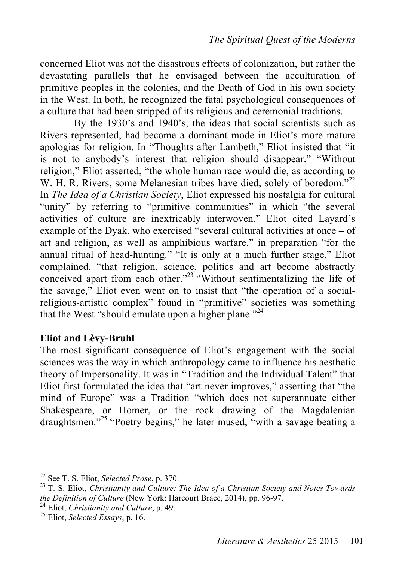concerned Eliot was not the disastrous effects of colonization, but rather the devastating parallels that he envisaged between the acculturation of primitive peoples in the colonies, and the Death of God in his own society in the West. In both, he recognized the fatal psychological consequences of a culture that had been stripped of its religious and ceremonial traditions.

By the 1930's and 1940's, the ideas that social scientists such as Rivers represented, had become a dominant mode in Eliot's more mature apologias for religion. In "Thoughts after Lambeth," Eliot insisted that "it is not to anybody's interest that religion should disappear." "Without religion," Eliot asserted, "the whole human race would die, as according to W. H. R. Rivers, some Melanesian tribes have died, solely of boredom."<sup>22</sup> In *The Idea of a Christian Society*, Eliot expressed his nostalgia for cultural "unity" by referring to "primitive communities" in which "the several activities of culture are inextricably interwoven." Eliot cited Layard's example of the Dyak, who exercised "several cultural activities at once – of art and religion, as well as amphibious warfare," in preparation "for the annual ritual of head-hunting." "It is only at a much further stage," Eliot complained, "that religion, science, politics and art become abstractly conceived apart from each other."<sup>23</sup> "Without sentimentalizing the life of the savage," Eliot even went on to insist that "the operation of a socialreligious-artistic complex" found in "primitive" societies was something that the West "should emulate upon a higher plane."<sup>24</sup>

#### **Eliot and Lèvy-Bruhl**

The most significant consequence of Eliot's engagement with the social sciences was the way in which anthropology came to influence his aesthetic theory of Impersonality. It was in "Tradition and the Individual Talent" that Eliot first formulated the idea that "art never improves," asserting that "the mind of Europe" was a Tradition "which does not superannuate either Shakespeare, or Homer, or the rock drawing of the Magdalenian draughtsmen." <sup>25</sup> "Poetry begins," he later mused, "with a savage beating a

<sup>&</sup>lt;sup>22</sup> See T. S. Eliot, *Selected Prose*, p. 370.<br><sup>23</sup> T. S. Eliot, *Christianity and Culture: The Idea of a Christian Society and Notes Towards the Definition of Culture* (New York: Harcourt Brace, 2014), pp. 96-97. 24 Eliot, *Christianity and Culture*, p. 49. 25 Eliot, *Selected Essays*, p. 16.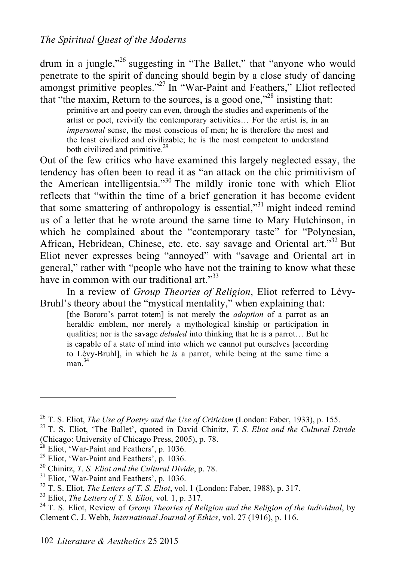#### *The Spiritual Quest of the Moderns*

drum in a jungle,"<sup>26</sup> suggesting in "The Ballet," that "anyone who would penetrate to the spirit of dancing should begin by a close study of dancing amongst primitive peoples."<sup>27</sup> In "War-Paint and Feathers," Eliot reflected that "the maxim, Return to the sources, is a good one," 28 insisting that:

primitive art and poetry can even, through the studies and experiments of the artist or poet, revivify the contemporary activities… For the artist is, in an *impersonal* sense, the most conscious of men; he is therefore the most and the least civilized and civilizable; he is the most competent to understand both civilized and primitive.<sup>29</sup>

Out of the few critics who have examined this largely neglected essay, the tendency has often been to read it as "an attack on the chic primitivism of the American intelligentsia."<sup>30</sup> The mildly ironic tone with which Eliot reflects that "within the time of a brief generation it has become evident that some smattering of anthropology is essential,"<sup>31</sup> might indeed remind us of a letter that he wrote around the same time to Mary Hutchinson, in which he complained about the "contemporary taste" for "Polynesian, African, Hebridean, Chinese, etc. etc. say savage and Oriental art."<sup>32</sup> But Eliot never expresses being "annoyed" with "savage and Oriental art in general," rather with "people who have not the training to know what these have in common with our traditional art."<sup>33</sup>

In a review of *Group Theories of Religion*, Eliot referred to Lèvy-Bruhl's theory about the "mystical mentality," when explaining that:

[the Bororo's parrot totem] is not merely the *adoption* of a parrot as an heraldic emblem, nor merely a mythological kinship or participation in qualities; nor is the savage *deluded* into thinking that he is a parrot… But he is capable of a state of mind into which we cannot put ourselves [according to Lèvy-Bruhl], in which he *is* a parrot, while being at the same time a man. 34

<sup>&</sup>lt;sup>26</sup> T. S. Eliot, *The Use of Poetry and the Use of Criticism* (London: Faber, 1933), p. 155.<br><sup>27</sup> T. S. Eliot, 'The Ballet', quoted in David Chinitz, *T. S. Eliot and the Cultural Divide*<br>(Chicago: University of Chicago P

<sup>&</sup>lt;sup>29</sup> Eliot, 'War-Paint and Feathers', p. 1036.<br><sup>30</sup> Chinitz, *T. S. Eliot and the Cultural Divide*, p. 78.<br><sup>31</sup> Eliot, 'War-Paint and Feathers', p. 1036.<br><sup>32</sup> T. S. Eliot, *The Letters of T. S. Eliot*, vol. 1 (London: Fab Clement C. J. Webb, *International Journal of Ethics*, vol. 27 (1916), p. 116.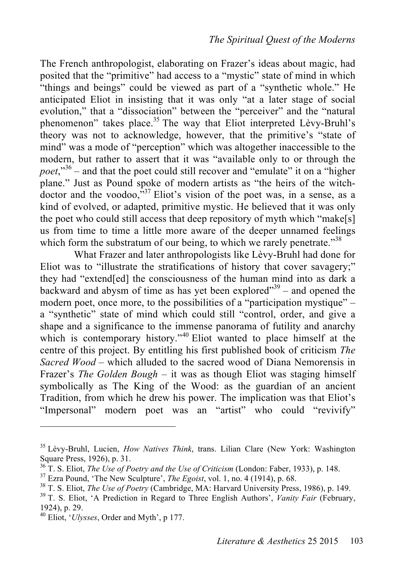The French anthropologist, elaborating on Frazer's ideas about magic, had posited that the "primitive" had access to a "mystic" state of mind in which "things and beings" could be viewed as part of a "synthetic whole." He anticipated Eliot in insisting that it was only "at a later stage of social evolution," that a "dissociation" between the "perceiver" and the "natural phenomenon" takes place.<sup>35</sup> The way that Eliot interpreted Lèvy-Bruhl's theory was not to acknowledge, however, that the primitive's "state of mind" was a mode of "perception" which was altogether inaccessible to the modern, but rather to assert that it was "available only to or through the *poet*," <sup>36</sup> – and that the poet could still recover and "emulate" it on a "higher plane." Just as Pound spoke of modern artists as "the heirs of the witchdoctor and the voodoo,  $\frac{337}{12}$  Eliot's vision of the poet was, in a sense, as a kind of evolved, or adapted, primitive mystic. He believed that it was only the poet who could still access that deep repository of myth which "make[s] us from time to time a little more aware of the deeper unnamed feelings which form the substratum of our being, to which we rarely penetrate."<sup>38</sup>

What Frazer and later anthropologists like Lèvy-Bruhl had done for Eliot was to "illustrate the stratifications of history that cover savagery;" they had "extend[ed] the consciousness of the human mind into as dark a backward and abysm of time as has yet been explored<sup> $39$ </sup> – and opened the modern poet, once more, to the possibilities of a "participation mystique" – a "synthetic" state of mind which could still "control, order, and give a shape and a significance to the immense panorama of futility and anarchy which is contemporary history."<sup>40</sup> Eliot wanted to place himself at the centre of this project. By entitling his first published book of criticism *The Sacred Wood* – which alluded to the sacred wood of Diana Nemorensis in Frazer's *The Golden Bough* – it was as though Eliot was staging himself symbolically as The King of the Wood: as the guardian of an ancient Tradition, from which he drew his power. The implication was that Eliot's "Impersonal" modern poet was an "artist" who could "revivify"

<sup>35</sup> Lèvy-Bruhl, Lucien, *How Natives Think*, trans. Lilian Clare (New York: Washington Square Press, 1926), p. 31.<br><sup>36</sup> T. S. Eliot, *The Use of Poetry and the Use of Criticism* (London: Faber, 1933), p. 148.<br><sup>37</sup> Ezra Pound, 'The New Sculpture', *The Egoist*, vol. 1, no. 4 (1914), p. 68.<br><sup>38</sup> T. S. Eliot,

<sup>1924),</sup> p. 29. 40 Eliot, '*Ulysses*, Order and Myth', p 177.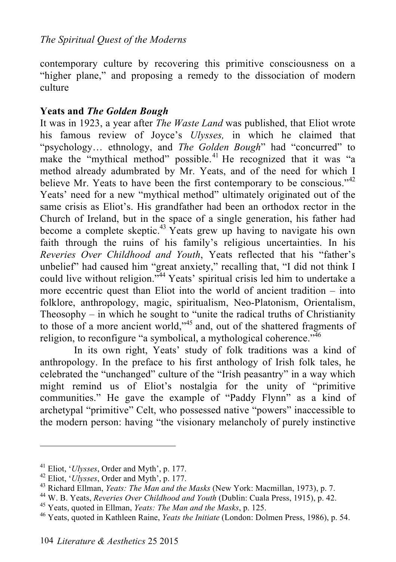contemporary culture by recovering this primitive consciousness on a "higher plane," and proposing a remedy to the dissociation of modern culture

#### **Yeats and** *The Golden Bough*

It was in 1923, a year after *The Waste Land* was published, that Eliot wrote his famous review of Joyce's *Ulysses,* in which he claimed that "psychology… ethnology, and *The Golden Bough*" had "concurred" to make the "mythical method" possible.<sup>41</sup> He recognized that it was "a method already adumbrated by Mr. Yeats, and of the need for which I believe Mr. Yeats to have been the first contemporary to be conscious." $42$ Yeats' need for a new "mythical method" ultimately originated out of the same crisis as Eliot's. His grandfather had been an orthodox rector in the Church of Ireland, but in the space of a single generation, his father had become a complete skeptic.<sup>43</sup> Yeats grew up having to navigate his own faith through the ruins of his family's religious uncertainties. In his *Reveries Over Childhood and Youth*, Yeats reflected that his "father's unbelief" had caused him "great anxiety," recalling that, "I did not think I could live without religion."<sup>44</sup> Yeats' spiritual crisis led him to undertake a more eccentric quest than Eliot into the world of ancient tradition – into folklore, anthropology, magic, spiritualism, Neo-Platonism, Orientalism, Theosophy – in which he sought to "unite the radical truths of Christianity to those of a more ancient world," 45 and, out of the shattered fragments of religion, to reconfigure "a symbolical, a mythological coherence."<sup>46</sup>

In its own right, Yeats' study of folk traditions was a kind of anthropology. In the preface to his first anthology of Irish folk tales, he celebrated the "unchanged" culture of the "Irish peasantry" in a way which might remind us of Eliot's nostalgia for the unity of "primitive communities." He gave the example of "Paddy Flynn" as a kind of archetypal "primitive" Celt, who possessed native "powers" inaccessible to the modern person: having "the visionary melancholy of purely instinctive

<sup>&</sup>lt;sup>41</sup> Eliot, '*Ulysses*, Order and Myth', p. 177.<br><sup>42</sup> Eliot, '*Ulysses*, Order and Myth', p. 177.<br><sup>43</sup> Richard Ellman, *Yeats: The Man and the Masks* (New York: Macmillan, 1973), p. 7.<br><sup>44</sup> W. B. Yeats, *Reveries Over Chi*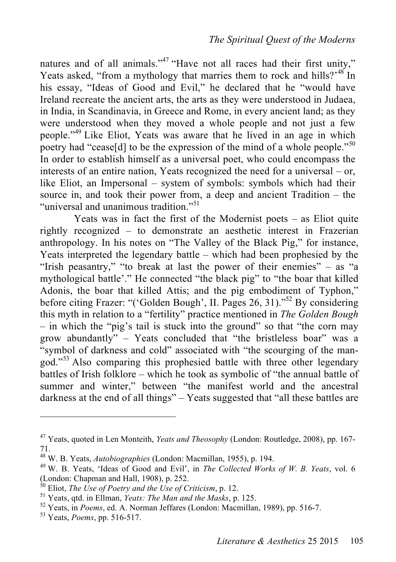natures and of all animals."<sup>47</sup> "Have not all races had their first unity," Yeats asked, "from a mythology that marries them to rock and hills?"<sup>48</sup> In his essay, "Ideas of Good and Evil," he declared that he "would have Ireland recreate the ancient arts, the arts as they were understood in Judaea, in India, in Scandinavia, in Greece and Rome, in every ancient land; as they were understood when they moved a whole people and not just a few people." 49 Like Eliot, Yeats was aware that he lived in an age in which poetry had "cease[d] to be the expression of the mind of a whole people."<sup>50</sup> In order to establish himself as a universal poet, who could encompass the interests of an entire nation, Yeats recognized the need for a universal – or, like Eliot, an Impersonal – system of symbols: symbols which had their source in, and took their power from, a deep and ancient Tradition – the "universal and unanimous tradition."<sup>51</sup>

Yeats was in fact the first of the Modernist poets – as Eliot quite rightly recognized – to demonstrate an aesthetic interest in Frazerian anthropology. In his notes on "The Valley of the Black Pig," for instance, Yeats interpreted the legendary battle – which had been prophesied by the "Irish peasantry," "to break at last the power of their enemies" – as "a mythological battle'." He connected "the black pig" to "the boar that killed Adonis, the boar that killed Attis; and the pig embodiment of Typhon," before citing Frazer: "('Golden Bough', II. Pages 26, 31)." 52 By considering this myth in relation to a "fertility" practice mentioned in *The Golden Bough* – in which the "pig's tail is stuck into the ground" so that "the corn may grow abundantly" – Yeats concluded that "the bristleless boar" was a "symbol of darkness and cold" associated with "the scourging of the mangod."<sup>53</sup> Also comparing this prophesied battle with three other legendary battles of Irish folklore – which he took as symbolic of "the annual battle of summer and winter," between "the manifest world and the ancestral darkness at the end of all things" – Yeats suggested that "all these battles are

<sup>47</sup> Yeats, quoted in Len Monteith, *Yeats and Theosophy* (London: Routledge, 2008), pp. 167- 71.<br><sup>48</sup> W. B. Yeats, *Autobiographies* (London: Macmillan, 1955), p. 194.

<sup>&</sup>lt;sup>49</sup> W. B. Yeats, 'Ideas of Good and Evil', in *The Collected Works of W. B. Yeats*, vol. 6 (London: Chapman and Hall, 1908), p. 252.<br>
<sup>50</sup> Eliot, *The Use of Poetry and the Use of Criticism*, p. 12.<br>
<sup>51</sup> Yeats, qtd. in Ellman, *Yeats: The Man and the Masks*, p. 125.<br>
<sup>52</sup> Yeats, in *Poems*, ed. A. Norman Jeffa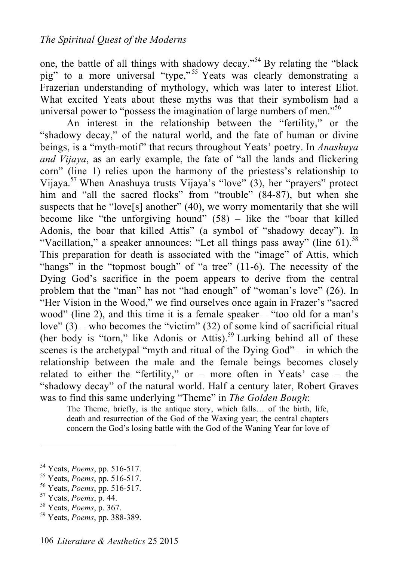one, the battle of all things with shadowy decay."<sup>54</sup> By relating the "black pig" to a more universal "type,"<sup>55</sup> Yeats was clearly demonstrating a Frazerian understanding of mythology, which was later to interest Eliot. What excited Yeats about these myths was that their symbolism had a universal power to "possess the imagination of large numbers of men."<sup>56</sup>

An interest in the relationship between the "fertility," or the "shadowy decay," of the natural world, and the fate of human or divine beings, is a "myth-motif" that recurs throughout Yeats' poetry. In *Anashuya and Vijaya*, as an early example, the fate of "all the lands and flickering corn" (line 1) relies upon the harmony of the priestess's relationship to Vijaya. 57 When Anashuya trusts Vijaya's "love" (3), her "prayers" protect him and "all the sacred flocks" from "trouble" (84-87), but when she suspects that he "love[s] another"  $(40)$ , we worry momentarily that she will become like "the unforgiving hound" (58) – like the "boar that killed Adonis, the boar that killed Attis" (a symbol of "shadowy decay"). In "Vacillation," a speaker announces: "Let all things pass away" (line 61).<sup>58</sup> This preparation for death is associated with the "image" of Attis, which "hangs" in the "topmost bough" of "a tree" (11-6). The necessity of the Dying God's sacrifice in the poem appears to derive from the central problem that the "man" has not "had enough" of "woman's love" (26). In "Her Vision in the Wood," we find ourselves once again in Frazer's "sacred wood" (line 2), and this time it is a female speaker – "too old for a man's love"  $(3)$  – who becomes the "victim"  $(32)$  of some kind of sacrificial ritual (her body is "torn," like Adonis or Attis). 59 Lurking behind all of these scenes is the archetypal "myth and ritual of the Dying God" – in which the relationship between the male and the female beings becomes closely related to either the "fertility," or – more often in Yeats' case – the "shadowy decay" of the natural world. Half a century later, Robert Graves was to find this same underlying "Theme" in *The Golden Bough*:

The Theme, briefly, is the antique story, which falls… of the birth, life, death and resurrection of the God of the Waxing year; the central chapters concern the God's losing battle with the God of the Waning Year for love of

- 
- 

<sup>54</sup> Yeats, *Poems*, pp. 516-517. 55 Yeats, *Poems*, pp. 516-517. 56 Yeats, *Poems*, pp. 516-517. 57 Yeats, *Poems*, p. 44. 58 Yeats, *Poems*, p. 367. 59 Yeats, *Poems*, pp. 388-389.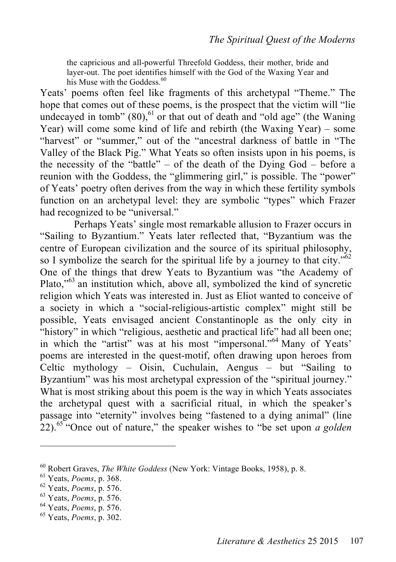the capricious and all-powerful Threefold Goddess, their mother, bride and layer-out. The poet identifies himself with the God of the Waxing Year and his Muse with the Goddess.<sup>60</sup>

Yeats' poems often feel like fragments of this archetypal "Theme." The hope that comes out of these poems, is the prospect that the victim will "lie undecayed in tomb"  $(80)$ ,  $^{61}$  or that out of death and "old age" (the Waning Year) will come some kind of life and rebirth (the Waxing Year) – some "harvest" or "summer" out of the "ancestral darkness of battle in "The Valley of the Black Pig." What Yeats so often insists upon in his poems, is the necessity of the "battle" – of the death of the Dying God – before a reunion with the Goddess, the "glimmering girl," is possible. The "power" of Yeats' poetry often derives from the way in which these fertility symbols function on an archetypal level: they are symbolic "types" which Frazer had recognized to be "universal."

Perhaps Yeats' single most remarkable allusion to Frazer occurs in "Sailing to Byzantium." Yeats later reflected that, "Byzantium was the centre of European civilization and the source of its spiritual philosophy, so I symbolize the search for the spiritual life by a journey to that city." $62$ One of the things that drew Yeats to Byzantium was "the Academy of Plato,"<sup>63</sup> an institution which, above all, symbolized the kind of syncretic religion which Yeats was interested in. Just as Eliot wanted to conceive of a society in which a "social-religious-artistic complex" might still be possible, Yeats envisaged ancient Constantinople as the only city in "history" in which "religious, aesthetic and practical life" had all been one; in which the "artist" was at his most "impersonal."<sup>64</sup> Many of Yeats' poems are interested in the quest-motif, often drawing upon heroes from Celtic mythology – Oisin, Cuchulain, Aengus – but "Sailing to Byzantium" was his most archetypal expression of the "spiritual journey." What is most striking about this poem is the way in which Yeats associates the archetypal quest with a sacrificial ritual, in which the speaker's passage into "eternity" involves being "fastened to a dying animal" (line 22). <sup>65</sup> "Once out of nature," the speaker wishes to "be set upon *a golden* 

<sup>&</sup>lt;sup>60</sup> Robert Graves, *The White Goddess* (New York: Vintage Books, 1958), p. 8.<br><sup>61</sup> Yeats, *Poems*, p. 368.<br><sup>62</sup> Yeats, *Poems*, p. 576.<br><sup>63</sup> Yeats, *Poems*, p. 576.<br><sup>64</sup> Yeats, *Poems*, p. 576.<br><sup>64</sup> Yeats, *Poems*, p. 57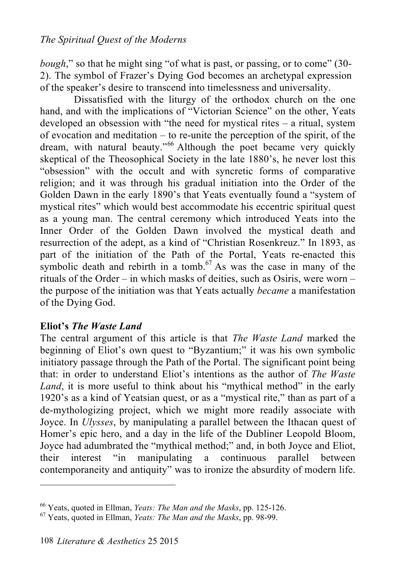*bough*," so that he might sing "of what is past, or passing, or to come" (30-2). The symbol of Frazer's Dying God becomes an archetypal expression of the speaker's desire to transcend into timelessness and universality.

Dissatisfied with the liturgy of the orthodox church on the one hand, and with the implications of "Victorian Science" on the other, Yeats developed an obsession with "the need for mystical rites – a ritual, system of evocation and meditation – to re-unite the perception of the spirit, of the dream, with natural beauty."<sup>66</sup> Although the poet became very quickly skeptical of the Theosophical Society in the late 1880's, he never lost this "obsession" with the occult and with syncretic forms of comparative religion; and it was through his gradual initiation into the Order of the Golden Dawn in the early 1890's that Yeats eventually found a "system of mystical rites" which would best accommodate his eccentric spiritual quest as a young man. The central ceremony which introduced Yeats into the Inner Order of the Golden Dawn involved the mystical death and resurrection of the adept, as a kind of "Christian Rosenkreuz." In 1893, as part of the initiation of the Path of the Portal, Yeats re-enacted this symbolic death and rebirth in a tomb.<sup>67</sup> As was the case in many of the rituals of the Order – in which masks of deities, such as Osiris, were worn – the purpose of the initiation was that Yeats actually *became* a manifestation of the Dying God.

#### **Eliot's** *The Waste Land*

The central argument of this article is that *The Waste Land* marked the beginning of Eliot's own quest to "Byzantium;" it was his own symbolic initiatory passage through the Path of the Portal. The significant point being that: in order to understand Eliot's intentions as the author of *The Waste Land*, it is more useful to think about his "mythical method" in the early 1920's as a kind of Yeatsian quest, or as a "mystical rite," than as part of a de-mythologizing project, which we might more readily associate with Joyce. In *Ulysses*, by manipulating a parallel between the Ithacan quest of Homer's epic hero, and a day in the life of the Dubliner Leopold Bloom, Joyce had adumbrated the "mythical method;" and, in both Joyce and Eliot, their interest "in manipulating a continuous parallel between contemporaneity and antiquity" was to ironize the absurdity of modern life.

<sup>66</sup> Yeats, quoted in Ellman, *Yeats: The Man and the Masks*, pp. 125-126. 67 Yeats, quoted in Ellman, *Yeats: The Man and the Masks*, pp. 98-99.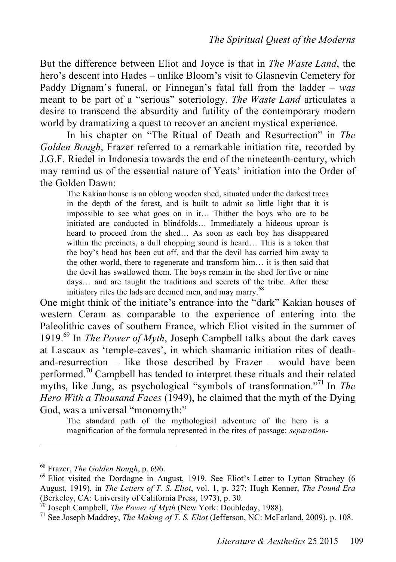But the difference between Eliot and Joyce is that in *The Waste Land*, the hero's descent into Hades – unlike Bloom's visit to Glasnevin Cemetery for Paddy Dignam's funeral, or Finnegan's fatal fall from the ladder – *was* meant to be part of a "serious" soteriology. *The Waste Land* articulates a desire to transcend the absurdity and futility of the contemporary modern world by dramatizing a quest to recover an ancient mystical experience.

In his chapter on "The Ritual of Death and Resurrection" in *The Golden Bough*, Frazer referred to a remarkable initiation rite, recorded by J.G.F. Riedel in Indonesia towards the end of the nineteenth-century, which may remind us of the essential nature of Yeats' initiation into the Order of the Golden Dawn:

The Kakian house is an oblong wooden shed, situated under the darkest trees in the depth of the forest, and is built to admit so little light that it is impossible to see what goes on in it… Thither the boys who are to be initiated are conducted in blindfolds… Immediately a hideous uproar is heard to proceed from the shed… As soon as each boy has disappeared within the precincts, a dull chopping sound is heard... This is a token that the boy's head has been cut off, and that the devil has carried him away to the other world, there to regenerate and transform him… it is then said that the devil has swallowed them. The boys remain in the shed for five or nine days… and are taught the traditions and secrets of the tribe. After these initiatory rites the lads are deemed men, and may marry.<sup>68</sup>

One might think of the initiate's entrance into the "dark" Kakian houses of western Ceram as comparable to the experience of entering into the Paleolithic caves of southern France, which Eliot visited in the summer of 1919. 69 In *The Power of Myth*, Joseph Campbell talks about the dark caves at Lascaux as 'temple-caves', in which shamanic initiation rites of deathand-resurrection – like those described by Frazer – would have been performed.<sup>70</sup> Campbell has tended to interpret these rituals and their related myths, like Jung, as psychological "symbols of transformation."<sup>71</sup> In *The Hero With a Thousand Faces* (1949), he claimed that the myth of the Dying God, was a universal "monomyth:"

The standard path of the mythological adventure of the hero is a magnification of the formula represented in the rites of passage: *separation-*

<sup>&</sup>lt;sup>68</sup> Frazer, *The Golden Bough*, p. 696.<br><sup>69</sup> Eliot visited the Dordogne in August, 1919. See Eliot's Letter to Lytton Strachey (6 August, 1919), in *The Letters of T. S. Eliot*, vol. 1, p. 327; Hugh Kenner, *The Pound Era*

 $\frac{\partial}{\partial v}$  Joseph Campbell, *The Power of Myth* (New York: Doubleday, 1988).<br><sup>71</sup> See Joseph Maddrey, *The Making of T. S. Eliot* (Jefferson, NC: McFarland, 2009), p. 108.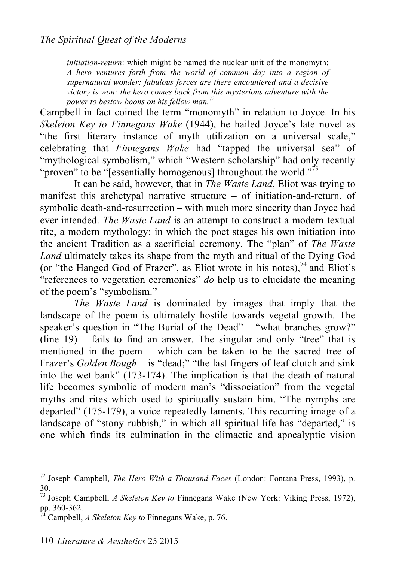*initiation-return*: which might be named the nuclear unit of the monomyth: *A hero ventures forth from the world of common day into a region of supernatural wonder: fabulous forces are there encountered and a decisive victory is won: the hero comes back from this mysterious adventure with the power to bestow boons on his fellow man.* 72

Campbell in fact coined the term "monomyth" in relation to Joyce. In his *Skeleton Key to Finnegans Wake* (1944), he hailed Joyce's late novel as "the first literary instance of myth utilization on a universal scale," celebrating that *Finnegans Wake* had "tapped the universal sea" of "mythological symbolism," which "Western scholarship" had only recently "proven" to be "[essentially homogenous] throughout the world."<sup>73</sup>

It can be said, however, that in *The Waste Land*, Eliot was trying to manifest this archetypal narrative structure – of initiation-and-return, of symbolic death-and-resurrection – with much more sincerity than Joyce had ever intended. *The Waste Land* is an attempt to construct a modern textual rite, a modern mythology: in which the poet stages his own initiation into the ancient Tradition as a sacrificial ceremony. The "plan" of *The Waste Land* ultimately takes its shape from the myth and ritual of the Dying God (or "the Hanged God of Frazer", as Eliot wrote in his notes), 74 and Eliot's "references to vegetation ceremonies" *do* help us to elucidate the meaning of the poem's "symbolism."

*The Waste Land* is dominated by images that imply that the landscape of the poem is ultimately hostile towards vegetal growth. The speaker's question in "The Burial of the Dead" – "what branches grow?" (line 19) – fails to find an answer. The singular and only "tree" that is mentioned in the poem – which can be taken to be the sacred tree of Frazer's *Golden Bough* – is "dead;" "the last fingers of leaf clutch and sink into the wet bank" (173-174). The implication is that the death of natural life becomes symbolic of modern man's "dissociation" from the vegetal myths and rites which used to spiritually sustain him. "The nymphs are departed" (175-179), a voice repeatedly laments. This recurring image of a landscape of "stony rubbish," in which all spiritual life has "departed," is one which finds its culmination in the climactic and apocalyptic vision

<sup>72</sup> Joseph Campbell, *The Hero With a Thousand Faces* (London: Fontana Press, 1993), p. 30.

<sup>73</sup> Joseph Campbell, *A Skeleton Key to* Finnegans Wake (New York: Viking Press, 1972), pp. 360-362. 74 Campbell, *A Skeleton Key to* Finnegans Wake, p. 76.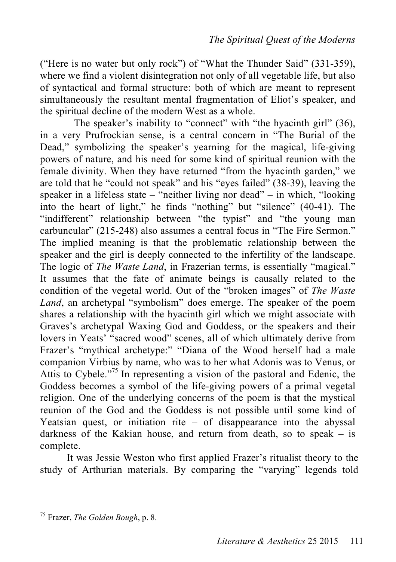("Here is no water but only rock") of "What the Thunder Said" (331-359), where we find a violent disintegration not only of all vegetable life, but also of syntactical and formal structure: both of which are meant to represent simultaneously the resultant mental fragmentation of Eliot's speaker, and the spiritual decline of the modern West as a whole.

The speaker's inability to "connect" with "the hyacinth girl" (36), in a very Prufrockian sense, is a central concern in "The Burial of the Dead," symbolizing the speaker's yearning for the magical, life-giving powers of nature, and his need for some kind of spiritual reunion with the female divinity. When they have returned "from the hyacinth garden," we are told that he "could not speak" and his "eyes failed" (38-39), leaving the speaker in a lifeless state – "neither living nor dead" – in which, "looking into the heart of light," he finds "nothing" but "silence" (40-41). The "indifferent" relationship between "the typist" and "the young man carbuncular" (215-248) also assumes a central focus in "The Fire Sermon." The implied meaning is that the problematic relationship between the speaker and the girl is deeply connected to the infertility of the landscape. The logic of *The Waste Land*, in Frazerian terms, is essentially "magical." It assumes that the fate of animate beings is causally related to the condition of the vegetal world. Out of the "broken images" of *The Waste Land*, an archetypal "symbolism" does emerge. The speaker of the poem shares a relationship with the hyacinth girl which we might associate with Graves's archetypal Waxing God and Goddess, or the speakers and their lovers in Yeats' "sacred wood" scenes, all of which ultimately derive from Frazer's "mythical archetype:" "Diana of the Wood herself had a male companion Virbius by name, who was to her what Adonis was to Venus, or Attis to Cybele."<sup>75</sup> In representing a vision of the pastoral and Edenic, the Goddess becomes a symbol of the life-giving powers of a primal vegetal religion. One of the underlying concerns of the poem is that the mystical reunion of the God and the Goddess is not possible until some kind of Yeatsian quest, or initiation rite  $-$  of disappearance into the abyssal darkness of the Kakian house, and return from death, so to speak – is complete.

It was Jessie Weston who first applied Frazer's ritualist theory to the study of Arthurian materials. By comparing the "varying" legends told

<sup>75</sup> Frazer, *The Golden Bough*, p. 8.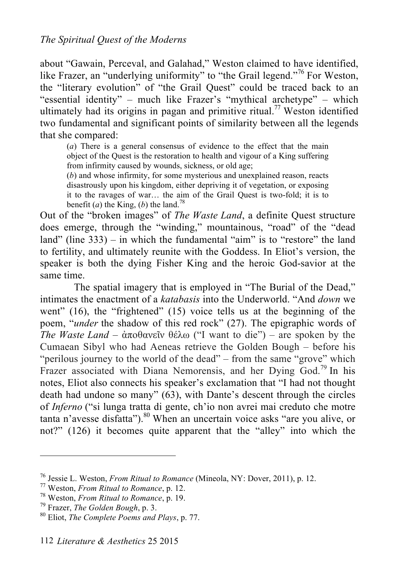about "Gawain, Perceval, and Galahad," Weston claimed to have identified, like Frazer, an "underlying uniformity" to "the Grail legend."<sup>76</sup> For Weston, the "literary evolution" of "the Grail Quest" could be traced back to an "essential identity" – much like Frazer's "mythical archetype" – which ultimately had its origins in pagan and primitive ritual. 77 Weston identified two fundamental and significant points of similarity between all the legends that she compared:

(*a*) There is a general consensus of evidence to the effect that the main object of the Quest is the restoration to health and vigour of a King suffering from infirmity caused by wounds, sickness, or old age;

(*b*) and whose infirmity, for some mysterious and unexplained reason, reacts disastrously upon his kingdom, either depriving it of vegetation, or exposing it to the ravages of war… the aim of the Grail Quest is two-fold; it is to benefit (*a*) the King, (*b*) the land.<sup>78</sup>

Out of the "broken images" of *The Waste Land*, a definite Quest structure does emerge, through the "winding," mountainous, "road" of the "dead land" (line 333) – in which the fundamental "aim" is to "restore" the land to fertility, and ultimately reunite with the Goddess. In Eliot's version, the speaker is both the dying Fisher King and the heroic God-savior at the same time.

The spatial imagery that is employed in "The Burial of the Dead," intimates the enactment of a *katabasis* into the Underworld. "And *down* we went" (16), the "frightened" (15) voice tells us at the beginning of the poem, "*under* the shadow of this red rock" (27). The epigraphic words of *The Waste Land* – ἀποθανεῖν θέλω ("I want to die") – are spoken by the Cumaean Sibyl who had Aeneas retrieve the Golden Bough – before his "perilous journey to the world of the dead" – from the same "grove" which Frazer associated with Diana Nemorensis, and her Dying God.<sup>79</sup> In his notes, Eliot also connects his speaker's exclamation that "I had not thought death had undone so many" (63), with Dante's descent through the circles of *Inferno* ("si lunga tratta di gente, ch'io non avrei mai creduto che motre tanta n'avesse disfatta"). 80 When an uncertain voice asks "are you alive, or not?" (126) it becomes quite apparent that the "alley" into which the

<sup>&</sup>lt;sup>76</sup> Jessie L. Weston, *From Ritual to Romance* (Mineola, NY: Dover, 2011), p. 12.<br><sup>77</sup> Weston, *From Ritual to Romance*, p. 12.<br><sup>78</sup> Weston, *From Ritual to Romance*, p. 19.<br><sup>79</sup> Frazer, *The Golden Bough*, p. 3.<br><sup>80</sup> El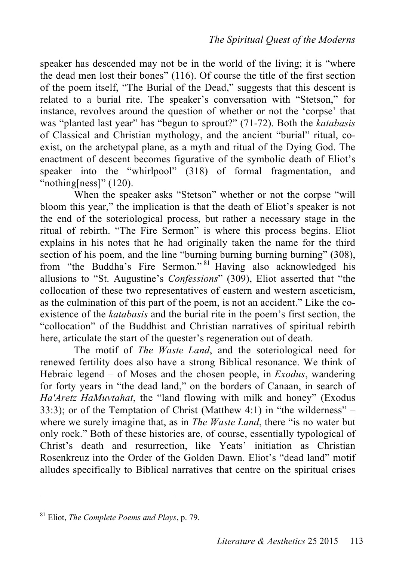speaker has descended may not be in the world of the living; it is "where the dead men lost their bones" (116). Of course the title of the first section of the poem itself, "The Burial of the Dead," suggests that this descent is related to a burial rite. The speaker's conversation with "Stetson," for instance, revolves around the question of whether or not the 'corpse' that was "planted last year" has "begun to sprout?" (71-72). Both the *katabasis* of Classical and Christian mythology, and the ancient "burial" ritual, coexist, on the archetypal plane, as a myth and ritual of the Dying God. The enactment of descent becomes figurative of the symbolic death of Eliot's speaker into the "whirlpool" (318) of formal fragmentation, and "nothing[ness]"  $(120)$ .

When the speaker asks "Stetson" whether or not the corpse "will bloom this year," the implication is that the death of Eliot's speaker is not the end of the soteriological process, but rather a necessary stage in the ritual of rebirth. "The Fire Sermon" is where this process begins. Eliot explains in his notes that he had originally taken the name for the third section of his poem, and the line "burning burning burning burning" (308), from "the Buddha's Fire Sermon." <sup>81</sup> Having also acknowledged his allusions to "St. Augustine's *Confessions*" (309), Eliot asserted that "the collocation of these two representatives of eastern and western asceticism, as the culmination of this part of the poem, is not an accident." Like the coexistence of the *katabasis* and the burial rite in the poem's first section, the "collocation" of the Buddhist and Christian narratives of spiritual rebirth here, articulate the start of the quester's regeneration out of death.

The motif of *The Waste Land*, and the soteriological need for renewed fertility does also have a strong Biblical resonance. We think of Hebraic legend – of Moses and the chosen people, in *Exodus*, wandering for forty years in "the dead land," on the borders of Canaan, in search of *Ha'Aretz HaMuvtahat*, the "land flowing with milk and honey" (Exodus 33:3); or of the Temptation of Christ (Matthew 4:1) in "the wilderness" – where we surely imagine that, as in *The Waste Land*, there "is no water but only rock." Both of these histories are, of course, essentially typological of Christ's death and resurrection, like Yeats' initiation as Christian Rosenkreuz into the Order of the Golden Dawn. Eliot's "dead land" motif alludes specifically to Biblical narratives that centre on the spiritual crises

<sup>81</sup> Eliot, *The Complete Poems and Plays*, p. 79.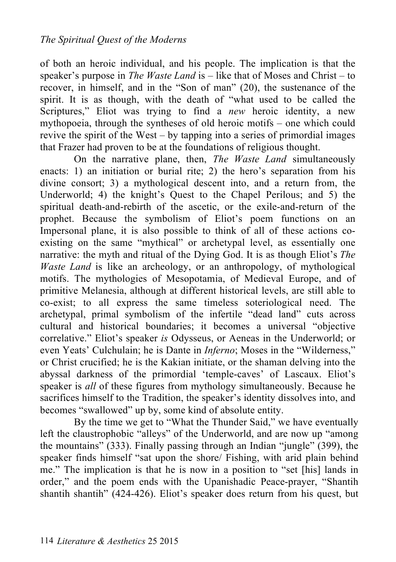of both an heroic individual, and his people. The implication is that the speaker's purpose in *The Waste Land* is – like that of Moses and Christ – to recover, in himself, and in the "Son of man" (20), the sustenance of the spirit. It is as though, with the death of "what used to be called the Scriptures," Eliot was trying to find a *new* heroic identity, a new mythopoeia, through the syntheses of old heroic motifs – one which could revive the spirit of the West – by tapping into a series of primordial images that Frazer had proven to be at the foundations of religious thought.

On the narrative plane, then, *The Waste Land* simultaneously enacts: 1) an initiation or burial rite; 2) the hero's separation from his divine consort; 3) a mythological descent into, and a return from, the Underworld; 4) the knight's Quest to the Chapel Perilous; and 5) the spiritual death-and-rebirth of the ascetic, or the exile-and-return of the prophet. Because the symbolism of Eliot's poem functions on an Impersonal plane, it is also possible to think of all of these actions coexisting on the same "mythical" or archetypal level, as essentially one narrative: the myth and ritual of the Dying God. It is as though Eliot's *The Waste Land* is like an archeology, or an anthropology, of mythological motifs. The mythologies of Mesopotamia, of Medieval Europe, and of primitive Melanesia, although at different historical levels, are still able to co-exist; to all express the same timeless soteriological need. The archetypal, primal symbolism of the infertile "dead land" cuts across cultural and historical boundaries; it becomes a universal "objective correlative." Eliot's speaker *is* Odysseus, or Aeneas in the Underworld; or even Yeats' Culchulain; he is Dante in *Inferno*; Moses in the "Wilderness," or Christ crucified; he is the Kakian initiate, or the shaman delving into the abyssal darkness of the primordial 'temple-caves' of Lascaux. Eliot's speaker is *all* of these figures from mythology simultaneously. Because he sacrifices himself to the Tradition, the speaker's identity dissolves into, and becomes "swallowed" up by, some kind of absolute entity.

By the time we get to "What the Thunder Said," we have eventually left the claustrophobic "alleys" of the Underworld, and are now up "among the mountains" (333). Finally passing through an Indian "jungle" (399), the speaker finds himself "sat upon the shore/ Fishing, with arid plain behind me." The implication is that he is now in a position to "set [his] lands in order," and the poem ends with the Upanishadic Peace-prayer, "Shantih shantih shantih" (424-426). Eliot's speaker does return from his quest, but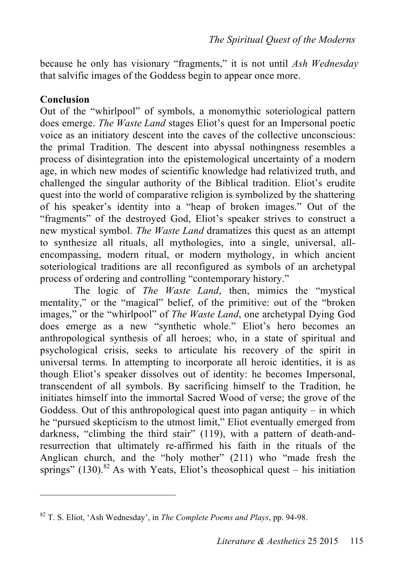because he only has visionary "fragments," it is not until *Ash Wednesday*  that salvific images of the Goddess begin to appear once more.

#### **Conclusion**

 $\overline{a}$ 

Out of the "whirlpool" of symbols, a monomythic soteriological pattern does emerge. *The Waste Land* stages Eliot's quest for an Impersonal poetic voice as an initiatory descent into the caves of the collective unconscious: the primal Tradition. The descent into abyssal nothingness resembles a process of disintegration into the epistemological uncertainty of a modern age, in which new modes of scientific knowledge had relativized truth, and challenged the singular authority of the Biblical tradition. Eliot's erudite quest into the world of comparative religion is symbolized by the shattering of his speaker's identity into a "heap of broken images." Out of the "fragments" of the destroyed God, Eliot's speaker strives to construct a new mystical symbol. *The Waste Land* dramatizes this quest as an attempt to synthesize all rituals, all mythologies, into a single, universal, allencompassing, modern ritual, or modern mythology, in which ancient soteriological traditions are all reconfigured as symbols of an archetypal process of ordering and controlling "contemporary history."

The logic of *The Waste Land*, then, mimics the "mystical mentality," or the "magical" belief, of the primitive: out of the "broken images," or the "whirlpool" of *The Waste Land*, one archetypal Dying God does emerge as a new "synthetic whole." Eliot's hero becomes an anthropological synthesis of all heroes; who, in a state of spiritual and psychological crisis, seeks to articulate his recovery of the spirit in universal terms. In attempting to incorporate all heroic identities, it is as though Eliot's speaker dissolves out of identity: he becomes Impersonal, transcendent of all symbols. By sacrificing himself to the Tradition, he initiates himself into the immortal Sacred Wood of verse; the grove of the Goddess. Out of this anthropological quest into pagan antiquity – in which he "pursued skepticism to the utmost limit," Eliot eventually emerged from darkness, "climbing the third stair" (119), with a pattern of death-andresurrection that ultimately re-affirmed his faith in the rituals of the Anglican church, and the "holy mother" (211) who "made fresh the springs" (130).<sup>82</sup> As with Yeats, Eliot's theosophical quest – his initiation

<sup>82</sup> T. S. Eliot, 'Ash Wednesday', in *The Complete Poems and Plays*, pp. 94-98.